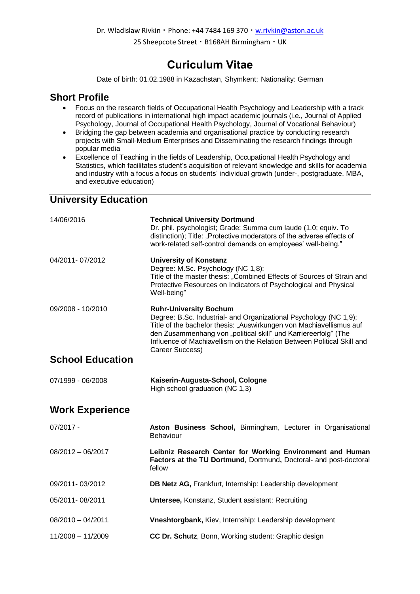Dr. Wladislaw Rivkin · Phone: +44 7484 169 370 · [w.rivkin@aston.ac.uk](mailto:w.rivkin@aston.ac.uk)

25 Sheepcote Street · B168AH Birmingham · UK

### **Curiculum Vitae**

Date of birth: 01.02.1988 in Kazachstan, Shymkent; Nationality: German

#### **Short Profile**

- Focus on the research fields of Occupational Health Psychology and Leadership with a track record of publications in international high impact academic journals (i.e., Journal of Applied Psychology, Journal of Occupational Health Psychology, Journal of Vocational Behaviour)
- Bridging the gap between academia and organisational practice by conducting research projects with Small-Medium Enterprises and Disseminating the research findings through popular media
- Excellence of Teaching in the fields of Leadership, Occupational Health Psychology and Statistics, which facilitates student's acquisition of relevant knowledge and skills for academia and industry with a focus a focus on students' individual growth (under-, postgraduate, MBA, and executive education)

### **University Education**

| 14/06/2016              | <b>Technical University Dortmund</b><br>Dr. phil. psychologist; Grade: Summa cum laude (1.0; equiv. To<br>distinction); Title: "Protective moderators of the adverse effects of<br>work-related self-control demands on employees' well-being."                                                                                           |
|-------------------------|-------------------------------------------------------------------------------------------------------------------------------------------------------------------------------------------------------------------------------------------------------------------------------------------------------------------------------------------|
| 04/2011-07/2012         | <b>University of Konstanz</b><br>Degree: M.Sc. Psychology (NC 1,8);<br>Title of the master thesis: "Combined Effects of Sources of Strain and<br>Protective Resources on Indicators of Psychological and Physical<br>Well-being"                                                                                                          |
| 09/2008 - 10/2010       | <b>Ruhr-University Bochum</b><br>Degree: B.Sc. Industrial- and Organizational Psychology (NC 1,9);<br>Title of the bachelor thesis: "Auswirkungen von Machiavellismus auf<br>den Zusammenhang von "political skill" und Karriereerfolg" (The<br>Influence of Machiavellism on the Relation Between Political Skill and<br>Career Success) |
| <b>School Education</b> |                                                                                                                                                                                                                                                                                                                                           |
| 07/1999 - 06/2008       | Kaiserin-Augusta-School, Cologne<br>High school graduation (NC 1,3)                                                                                                                                                                                                                                                                       |
| <b>Work Experience</b>  |                                                                                                                                                                                                                                                                                                                                           |
| $07/2017 -$             | Aston Business School, Birmingham, Lecturer in Organisational<br><b>Behaviour</b>                                                                                                                                                                                                                                                         |
| $08/2012 - 06/2017$     | Leibniz Research Center for Working Environment and Human<br>Factors at the TU Dortmund, Dortmund, Doctoral- and post-doctoral<br>fellow                                                                                                                                                                                                  |
| 09/2011-03/2012         | DB Netz AG, Frankfurt, Internship: Leadership development                                                                                                                                                                                                                                                                                 |
| 05/2011-08/2011         | <b>Untersee, Konstanz, Student assistant: Recruiting</b>                                                                                                                                                                                                                                                                                  |
|                         |                                                                                                                                                                                                                                                                                                                                           |

- 08/2010 04/2011 **Vneshtorgbank,** Kiev, Internship: Leadership development
- 11/2008 11/2009 **CC Dr. Schutz**, Bonn, Working student: Graphic design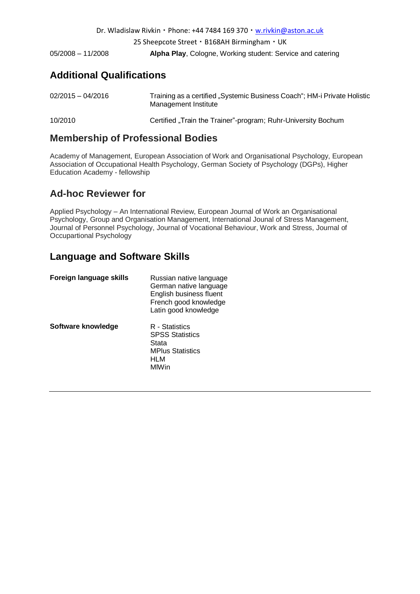| Dr. Wladislaw Rivkin · Phone: +44 7484 169 370 · w.rivkin@aston.ac.uk |                                                            |  |  |  |
|-----------------------------------------------------------------------|------------------------------------------------------------|--|--|--|
|                                                                       | 25 Sheepcote Street · B168AH Birmingham · UK               |  |  |  |
| $05/2008 - 11/2008$                                                   | Alpha Play, Cologne, Working student: Service and catering |  |  |  |

### **Additional Qualifications**

| $02/2015 - 04/2016$ | Training as a certified "Systemic Business Coach"; HM-i Private Holistic<br>Management Institute |  |  |
|---------------------|--------------------------------------------------------------------------------------------------|--|--|
| 10/2010             | Certified "Train the Trainer"-program; Ruhr-University Bochum                                    |  |  |

### **Membership of Professional Bodies**

Academy of Management, European Association of Work and Organisational Psychology, European Association of Occupational Health Psychology, German Society of Psychology (DGPs), Higher Education Academy - fellowship

### **Ad-hoc Reviewer for**

Applied Psychology – An International Review, European Journal of Work an Organisational Psychology, Group and Organisation Management, International Jounal of Stress Management, Journal of Personnel Psychology, Journal of Vocational Behaviour, Work and Stress, Journal of Occupartional Psychology

### **Language and Software Skills**

| Foreign language skills | Russian native language<br>German native language<br>English business fluent<br>French good knowledge<br>Latin good knowledge |
|-------------------------|-------------------------------------------------------------------------------------------------------------------------------|
| Software knowledge      | R - Statistics<br><b>SPSS Statistics</b><br>Stata<br><b>MPlus Statistics</b><br>HLM<br>MIWin                                  |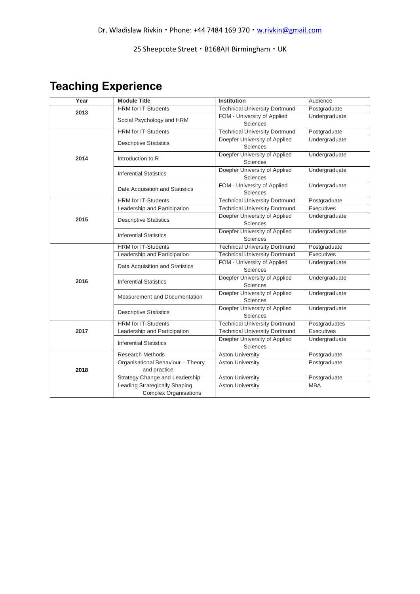# **Teaching Experience**

| Year | <b>Module Title</b>                                                  | <b>Institution</b>                               | Audience      |
|------|----------------------------------------------------------------------|--------------------------------------------------|---------------|
| 2013 | <b>HRM</b> for IT-Students                                           | <b>Technical University Dortmund</b>             | Postgraduate  |
|      | Social Psychology and HRM                                            | FOM - University of Applied<br>Sciences          | Undergraduate |
|      | <b>HRM</b> for IT-Students                                           | <b>Technical University Dortmund</b>             | Postgraduate  |
|      | <b>Descriptive Statistics</b>                                        | Doepfer University of Applied<br>Sciences        | Undergraduate |
| 2014 | Introduction to R                                                    | Doepfer University of Applied<br>Sciences        | Undergraduate |
|      | <b>Inferential Statistics</b>                                        | Doepfer University of Applied<br>Sciences        | Undergraduate |
|      | Data Acquisition and Statistics                                      | FOM - University of Applied<br><b>Sciences</b>   | Undergraduate |
|      | <b>HRM</b> for IT-Students                                           | <b>Technical University Dortmund</b>             | Postgraduate  |
|      | Leadership and Participation                                         | <b>Technical University Dortmund</b>             | Executives    |
| 2015 | <b>Descriptive Statistics</b>                                        | Doepfer University of Applied<br>Sciences        | Undergraduate |
|      | <b>Inferential Statistics</b>                                        | Doepfer University of Applied<br><b>Sciences</b> | Undergraduate |
|      | <b>HRM</b> for IT-Students                                           | <b>Technical University Dortmund</b>             | Postgraduate  |
|      | Leadership and Participation                                         | <b>Technical University Dortmund</b>             | Executives    |
|      | Data Acquisition and Statistics                                      | FOM - University of Applied<br>Sciences          | Undergraduate |
| 2016 | <b>Inferential Statistics</b>                                        | Doepfer University of Applied<br>Sciences        | Undergraduate |
|      | Measurement and Documentation                                        | Doepfer University of Applied<br>Sciences        | Undergraduate |
|      | <b>Descriptive Statistics</b>                                        | Doepfer University of Applied<br>Sciences        | Undergraduate |
|      | <b>HRM</b> for IT-Students                                           | <b>Technical University Dortmund</b>             | Postgraduates |
| 2017 | Leadership and Participation                                         | <b>Technical University Dortmund</b>             | Executives    |
|      | <b>Inferential Statistics</b>                                        | Doepfer University of Applied<br>Sciences        | Undergraduate |
|      | <b>Research Methods</b>                                              | <b>Aston University</b>                          | Postgraduate  |
| 2018 | Organisational Behaviour - Theory<br>and practice                    | <b>Aston University</b>                          | Postgraduate  |
|      | Strategy Change and Leadership                                       | <b>Aston University</b>                          | Postgraduate  |
|      | <b>Leading Strategically Shaping</b><br><b>Complex Organisations</b> | <b>Aston University</b>                          | <b>MBA</b>    |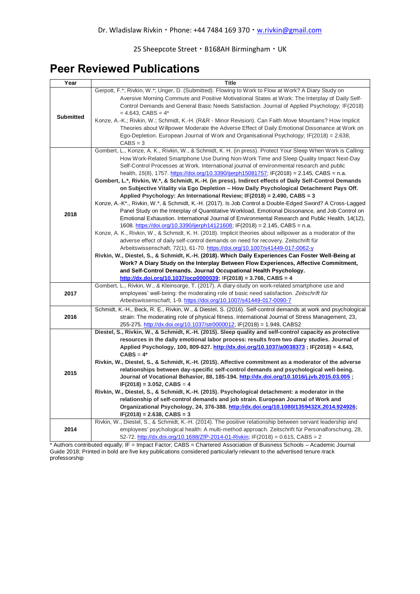### **Peer Reviewed Publications**

| Gerpott, F.*; Rivkin, W.*; Unger, D. (Submitted). Flowing to Work to Flow at Work? A Diary Study on                                                                                       |  |
|-------------------------------------------------------------------------------------------------------------------------------------------------------------------------------------------|--|
|                                                                                                                                                                                           |  |
| Aversive Morning Commute and Positive Motivational States at Work: The Interplay of Daily Self-                                                                                           |  |
| Control Demands and General Basic Needs Satisfaction. Journal of Applied Psychology; IF(2018)                                                                                             |  |
| $= 4.643$ , CABS $= 4*$<br><b>Submitted</b>                                                                                                                                               |  |
| Konze, A.-K.; Rivkin, W.; Schmidt, K.-H. (R&R - Minor Revision). Can Faith Move Mountains? How Implicit                                                                                   |  |
| Theories about Willpower Moderate the Adverse Effect of Daily Emotional Dissonance at Work on                                                                                             |  |
| Ego-Depletion. European Journal of Work and Organisational Psychology; IF(2018) = 2.638,                                                                                                  |  |
| $CABS = 3$                                                                                                                                                                                |  |
| Gombert, L., Konze, A. K., Rivkin, W., & Schmidt, K. H. (in press). Protect Your Sleep When Work is Calling:                                                                              |  |
| How Work-Related Smartphone Use During Non-Work Time and Sleep Quality Impact Next-Day                                                                                                    |  |
| Self-Control Processes at Work. International journal of environmental research and public                                                                                                |  |
| health, 15(8), 1757. https://doi.org/10.3390/ijerph15081757; IF(2018) = 2.145, CABS = n.a.                                                                                                |  |
| Gombert, L.*, Rivkin, W.*, & Schmidt, K.-H. (in press). Indirect effects of Daily Self-Control Demands                                                                                    |  |
| on Subjective Vitality via Ego Depletion - How Daily Psychological Detachment Pays Off.                                                                                                   |  |
| Applied Psychology: An International Review; IF(2018) = 2.490, CABS = 3                                                                                                                   |  |
| Konze, A.-K*., Rivkin, W.*, & Schmidt, K.-H. (2017). Is Job Control a Double-Edged Sword? A Cross-Lagged                                                                                  |  |
| Panel Study on the Interplay of Quantitative Workload, Emotional Dissonance, and Job Control on<br>2018                                                                                   |  |
| Emotional Exhaustion. International Journal of Environmental Research and Public Health, 14(12),                                                                                          |  |
| 1608. https://doi.org/10.3390/ijerph14121608; IF(2018) = 2.145, CABS = n.a.<br>Konze, A. K., Rivkin, W., & Schmidt, K. H. (2018). Implicit theories about willpower as a moderator of the |  |
| adverse effect of daily self-control demands on need for recovery. Zeitschrift für                                                                                                        |  |
| Arbeitswissenschaft, 72(1), 61-70. https://doi.org/10.1007/s41449-017-0062-y                                                                                                              |  |
| Rivkin, W., Diestel, S., & Schmidt, K.-H. (2018). Which Daily Experiences Can Foster Well-Being at                                                                                        |  |
| Work? A Diary Study on the Interplay Between Flow Experiences, Affective Commitment,                                                                                                      |  |
| and Self-Control Demands. Journal Occupational Health Psychology.                                                                                                                         |  |
| $http://dx.doi.org/10.1037/ocp0000039; IF(2018) = 3.766, CABS = 4$                                                                                                                        |  |
| Gombert, L., Rivkin, W., & Kleinsorge, T. (2017). A diary-study on work-related smartphone use and                                                                                        |  |
| employees' well-being: the moderating role of basic need satisfaction. Zeitschrift für<br>2017                                                                                            |  |
| Arbeitswissenschaft, 1-9. https://doi.org/10.1007/s41449-017-0090-7                                                                                                                       |  |
| Schmidt, K.-H., Beck, R. E., Rivkin, W., & Diestel, S. (2016). Self-control demands at work and psychological                                                                             |  |
| 2016<br>strain: The moderating role of physical fitness. International Journal of Stress Management, 23,                                                                                  |  |
| 255-275. http://dx.doi.org/10.1037/str0000012; IF(2018) = 1.949, CABS2                                                                                                                    |  |
| Diestel, S., Rivkin, W., & Schmidt, K.-H. (2015). Sleep quality and self-control capacity as protective                                                                                   |  |
| resources in the daily emotional labor process: results from two diary studies. Journal of                                                                                                |  |
| Applied Psychology, 100, 809-827. http://dx.doi.org/10.1037/a0038373; IF(2018) = 4.643,                                                                                                   |  |
| $CABS = 4*$                                                                                                                                                                               |  |
| Rivkin, W., Diestel, S., & Schmidt, K.-H. (2015). Affective commitment as a moderator of the adverse                                                                                      |  |
| relationships between day-specific self-control demands and psychological well-being.<br>2015                                                                                             |  |
| Journal of Vocational Behavior, 88, 185-194. http://dx.doi.org/10.1016/j.jvb.2015.03.005;                                                                                                 |  |
| $IF(2018) = 3.052, CABS = 4$                                                                                                                                                              |  |
| Rivkin, W., Diestel, S., & Schmidt, K.-H. (2015). Psychological detachment: a moderator in the                                                                                            |  |
| relationship of self-control demands and job strain. European Journal of Work and<br>Organizational Psychology, 24, 376-388. http://dx.doi.org/10.1080/1359432X.2014.924926;              |  |
| $IF(2018) = 2.638, CABS = 3$                                                                                                                                                              |  |
| Rivkin, W., Diestel, S., & Schmidt, K.-H. (2014). The positive relationship between servant leadership and                                                                                |  |
| 2014<br>employees' psychological health: A multi-method approach. Zeitschrift für Personalforschung, 28,                                                                                  |  |
| 52-72. http://dx.doi.org/10.1688/ZfP-2014-01-Rivkin; IF(2018) = 0.615, CABS = 2                                                                                                           |  |

\* Authors contributed equally; IF = Impact Factor; CABS = Chartered Association of Buisness Schools – Academic Journal Guide 2018; Printed in bold are five key publications considered particularly relevant to the advertised tenure-track professorship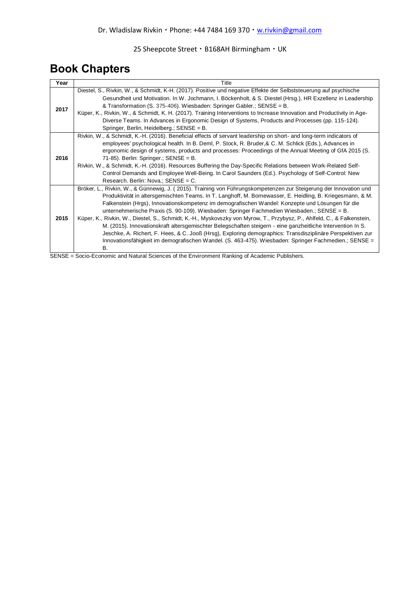## **Book Chapters**

| Year | Title                                                                                                                                                                                                                                                                                                                                                                                                                                                                                                                                                                                                                                                                                                                                                                                                                                                                                                    |  |  |  |  |
|------|----------------------------------------------------------------------------------------------------------------------------------------------------------------------------------------------------------------------------------------------------------------------------------------------------------------------------------------------------------------------------------------------------------------------------------------------------------------------------------------------------------------------------------------------------------------------------------------------------------------------------------------------------------------------------------------------------------------------------------------------------------------------------------------------------------------------------------------------------------------------------------------------------------|--|--|--|--|
| 2017 | Diestel, S., Rivkin, W., & Schmidt, K-H. (2017). Positive und negative Effekte der Selbststeuerung auf psychische<br>Gesundheit und Motivation. In W. Jochmann, I. Böckenholt, & S. Diestel (Hrsg.), HR Exzellenz in Leadership<br>& Transformation (S. 375-406). Wiesbaden: Springer Gabler.; SENSE = B.<br>Küper, K., Rivkin, W., & Schmidt, K. H. (2017). Training Interventions to Increase Innovation and Productivity in Age-<br>Diverse Teams. In Advances in Ergonomic Design of Systems, Products and Processes (pp. 115-124).<br>Springer, Berlin, Heidelberg.; SENSE = B.                                                                                                                                                                                                                                                                                                                     |  |  |  |  |
| 2016 | Rivkin, W., & Schmidt, K.-H. (2016). Beneficial effects of servant leadership on short- and long-term indicators of<br>employees' psychological health. In B. Deml, P. Stock, R. Bruder, & C. M. Schlick (Eds.), Advances in<br>ergonomic design of systems, products and processes: Proceedings of the Annual Meeting of GfA 2015 (S.<br>71-85). Berlin: Springer.; SENSE = B.<br>Rivkin, W., & Schmidt, K.-H. (2016). Resources Buffering the Day-Specific Relations between Work-Related Self-<br>Control Demands and Employee Well-Being. In Carol Saunders (Ed.). Psychology of Self-Control: New<br>Research. Berlin: Nova.; SENSE = C.                                                                                                                                                                                                                                                            |  |  |  |  |
| 2015 | Bröker, L., Rivkin, W., & Günnewig, J. (2015). Training von Führungskompetenzen zur Steigerung der Innovation und<br>Produktivität in altersgemischten Teams. In T. Langhoff, M. Bornewasser, E. Heidling, B. Kriegesmann, & M.<br>Falkenstein (Hrgs), Innovationskompetenz im demografischen Wandel: Konzepte und Lösungen für die<br>unternehmerische Praxis (S. 90-109). Wiesbaden: Springer Fachmedien Wiesbaden.; SENSE = B.<br>Küper, K., Rivkin, W., Diestel, S., Schmidt, K.-H., Myskovszky von Myrow, T., Przybysz, P., Ahlfeld, C., & Falkenstein,<br>M. (2015). Innovationskraft altersgemischter Belegschaften steigern - eine ganzheitliche Intervention In S.<br>Jeschke, A. Richert, F. Hees, & C. Jooß (Hrsg), Exploring demographics: Transdisziplinäre Perspektiven zur<br>Innovationsfähigkeit im demografischen Wandel. (S. 463-475). Wiesbaden: Springer Fachmedien.; SENSE =<br>В. |  |  |  |  |

SENSE = Socio-Economic and Natural Sciences of the Environment Ranking of Academic Publishers.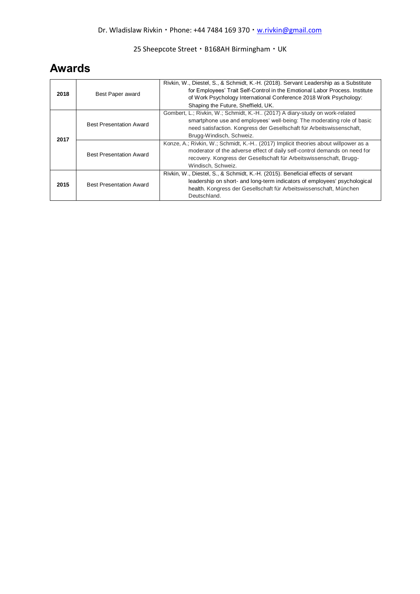## **Awards**

| 2018 | Best Paper award               | Rivkin, W., Diestel, S., & Schmidt, K.-H. (2018). Servant Leadership as a Substitute<br>for Employees' Trait Self-Control in the Emotional Labor Process. Institute<br>of Work Psychology International Conference 2018 Work Psychology:<br>Shaping the Future, Sheffield, UK. |
|------|--------------------------------|--------------------------------------------------------------------------------------------------------------------------------------------------------------------------------------------------------------------------------------------------------------------------------|
| 2017 | <b>Best Presentation Award</b> | Gombert, L.; Rivkin, W.; Schmidt, K.-H (2017) A diary-study on work-related<br>smartphone use and employees' well-being: The moderating role of basic<br>need satisfaction. Kongress der Gesellschaft für Arbeitswissenschaft.<br>Brugg-Windisch, Schweiz.                     |
|      | <b>Best Presentation Award</b> | Konze, A.; Rivkin, W.; Schmidt, K.-H., (2017) Implicit theories about willpower as a<br>moderator of the adverse effect of daily self-control demands on need for<br>recovery. Kongress der Gesellschaft für Arbeitswissenschaft, Brugg-<br>Windisch, Schweiz.                 |
| 2015 | <b>Best Presentation Award</b> | Rivkin, W., Diestel, S., & Schmidt, K.-H. (2015). Beneficial effects of servant<br>leadership on short- and long-term indicators of employees' psychological<br>health. Kongress der Gesellschaft für Arbeitswissenschaft, München<br>Deutschland.                             |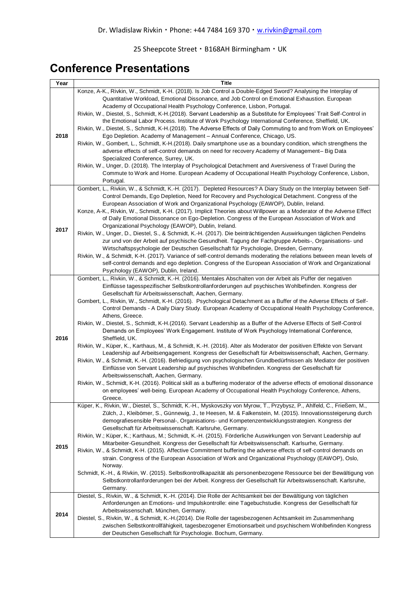## **Conference Presentations**

| Year | <b>Title</b>                                                                                                                                                                                                                                                                                                                                                                                                                                                                                                             |
|------|--------------------------------------------------------------------------------------------------------------------------------------------------------------------------------------------------------------------------------------------------------------------------------------------------------------------------------------------------------------------------------------------------------------------------------------------------------------------------------------------------------------------------|
|      | Konze, A-K., Rivkin, W., Schmidt, K-H. (2018). Is Job Control a Double-Edged Sword? Analysing the Interplay of<br>Quantitative Workload, Emotional Dissonance, and Job Control on Emotional Exhaustion. European<br>Academy of Occupational Health Psychology Conference, Lisbon, Portugal.                                                                                                                                                                                                                              |
| 2018 | Rivkin, W., Diestel, S., Schmidt, K-H.(2018). Servant Leadership as a Substitute for Employees' Trait Self-Control in                                                                                                                                                                                                                                                                                                                                                                                                    |
|      | the Emotional Labor Process. Institute of Work Psychology International Conference, Sheffield, UK.<br>Rivkin, W., Diestel, S., Schmidt, K-H.(2018). The Adverse Effects of Daily Commuting to and from Work on Employees'<br>Ego Depletion. Academy of Management - Annual Conference, Chicago, US.<br>Rivkin, W., Gombert, L., Schmidt, K-H.(2018). Daily smartphone use as a boundary condition, which strengthens the<br>adverse effects of self-control demands on need for recovery Academy of Management- Big Data |
|      | Specialized Conference, Surrey, UK.<br>Rivkin, W., Unger, D. (2018). The Interplay of Psychological Detachment and Aversiveness of Travel During the<br>Commute to Work and Home. European Academy of Occupational Health Psychology Conference, Lisbon,<br>Portugal.                                                                                                                                                                                                                                                    |
|      | Gombert, L., Rivkin, W., & Schmidt, K.-H. (2017). Depleted Resources? A Diary Study on the Interplay between Self-                                                                                                                                                                                                                                                                                                                                                                                                       |
|      | Control Demands, Ego Depletion, Need for Recovery and Psychological Detachment. Congress of the<br>European Association of Work and Organizational Psychology (EAWOP), Dublin, Ireland.<br>Konze, A-K., Rivkin, W., Schmidt, K-H. (2017). Implicit Theories about Willpower as a Moderator of the Adverse Effect<br>of Daily Emotional Dissonance on Ego-Depletion. Congress of the European Association of Work and<br>Organizational Psychology (EAWOP), Dublin, Ireland.                                              |
| 2017 | Rivkin, W., Unger, D., Diestel, S., & Schmidt, K.-H. (2017). Die beinträchtigenden Auswirkungen täglichen Pendelns<br>zur und von der Arbeit auf psychische Gesundheit. Tagung der Fachgruppe Arbeits-, Organisations- und                                                                                                                                                                                                                                                                                               |
|      | Wirtschaftspsychologie der Deutschen Gesellschaft für Psychologie, Dresden, Germany.<br>Rivkin, W., & Schmidt, K-H. (2017). Variance of self-control demands moderating the relations between mean levels of<br>self-control demands and ego depletion. Congress of the European Association of Work and Organizational<br>Psychology (EAWOP), Dublin, Ireland.                                                                                                                                                          |
|      | Gombert, L., Rivkin, W., & Schmidt, K.-H. (2016). Mentales Abschalten von der Arbeit als Puffer der negativen                                                                                                                                                                                                                                                                                                                                                                                                            |
|      | Einflüsse tagesspezifischer Selbstkontrollanforderungen auf psychisches Wohlbefinden. Kongress der<br>Gesellschaft für Arbeitswissenschaft, Aachen, Germany.<br>Gombert, L., Rivkin, W., Schmidt, K-H. (2016). Psychological Detachment as a Buffer of the Adverse Effects of Self-<br>Control Demands - A Daily Diary Study. European Academy of Occupational Health Psychology Conference,<br>Athens, Greece.                                                                                                          |
|      | Rivkin, W., Diestel, S., Schmidt, K-H.(2016). Servant Leadership as a Buffer of the Adverse Effects of Self-Control<br>Demands on Employees' Work Engagement. Institute of Work Psychology International Conference,                                                                                                                                                                                                                                                                                                     |
| 2016 | Sheffield, UK.<br>Rivkin, W., Küper, K., Karthaus, M., & Schmidt, K.-H. (2016). Alter als Moderator der positiven Effekte von Servant                                                                                                                                                                                                                                                                                                                                                                                    |
|      | Leadership auf Arbeitsengagement. Kongress der Gesellschaft für Arbeitswissenschaft, Aachen, Germany.<br>Rivkin, W., & Schmidt, K.-H. (2016). Befriedigung von psychologischen Grundbedürfnissen als Mediator der positiven<br>Einflüsse von Servant Leadership auf psychisches Wohlbefinden. Kongress der Gesellschaft für<br>Arbeitswissenschaft, Aachen, Germany.                                                                                                                                                     |
|      | Rivkin, W., Schmidt, K-H. (2016). Political skill as a buffering moderator of the adverse effects of emotional dissonance                                                                                                                                                                                                                                                                                                                                                                                                |
|      | on employees' well-being. European Academy of Occupational Health Psychology Conference, Athens,<br>Greece.                                                                                                                                                                                                                                                                                                                                                                                                              |
|      | Küper, K., Rivkin, W., Diestel, S., Schmidt, K.-H., Myskovszky von Myrow, T., Przybysz, P., Ahlfeld, C., Frießem, M.,<br>Zülch, J., Kleibömer, S., Günnewig, J., te Heesen, M. & Falkenstein, M. (2015). Innovationssteigerung durch                                                                                                                                                                                                                                                                                     |
|      | demografiesensible Personal-, Organisations- und Kompetenzentwicklungsstrategien. Kongress der                                                                                                                                                                                                                                                                                                                                                                                                                           |
|      | Gesellschaft für Arbeitswissenschaft. Karlsruhe, Germany.                                                                                                                                                                                                                                                                                                                                                                                                                                                                |
|      | Rivkin, W.; Küper, K.; Karthaus, M.; Schmidt, K.-H. (2015). Förderliche Auswirkungen von Servant Leadership auf<br>Mitarbeiter-Gesundheit. Kongress der Gesellschaft für Arbeitswissenschaft. Karlsurhe, Germany.                                                                                                                                                                                                                                                                                                        |
| 2015 | Rivkin, W., & Schmidt, K-H. (2015). Affective Commitment buffering the adverse effects of self-control demands on                                                                                                                                                                                                                                                                                                                                                                                                        |
|      | strain. Congress of the European Association of Work and Organizational Psychology (EAWOP), Oslo,                                                                                                                                                                                                                                                                                                                                                                                                                        |
|      | Norway.<br>Schmidt, K.-H., & Rivkin, W. (2015). Selbstkontrollkapazität als personenbezogene Ressource bei der Bewältigung von                                                                                                                                                                                                                                                                                                                                                                                           |
|      | Selbstkontrollanforderungen bei der Arbeit. Kongress der Gesellschaft für Arbeitswissenschaft. Karlsruhe,                                                                                                                                                                                                                                                                                                                                                                                                                |
|      | Germany.                                                                                                                                                                                                                                                                                                                                                                                                                                                                                                                 |
|      | Diestel, S., Rivkin, W., & Schmidt, K.-H. (2014). Die Rolle der Achtsamkeit bei der Bewältigung von täglichen<br>Anforderungen an Emotions- und Impulskontrolle: eine Tagebuchstudie. Kongress der Gesellschaft für                                                                                                                                                                                                                                                                                                      |
|      | Arbeitswissenschaft. München, Germany.                                                                                                                                                                                                                                                                                                                                                                                                                                                                                   |
| 2014 | Diestel, S., Rivkin, W., & Schmidt, K.-H.(2014). Die Rolle der tagesbezogenen Achtsamkeit im Zusammenhang                                                                                                                                                                                                                                                                                                                                                                                                                |
|      | zwischen Selbstkontrollfähigkeit, tagesbezogener Emotionsarbeit und psychischem Wohlbefinden Kongress<br>der Deutschen Gesellschaft für Psychologie. Bochum, Germany.                                                                                                                                                                                                                                                                                                                                                    |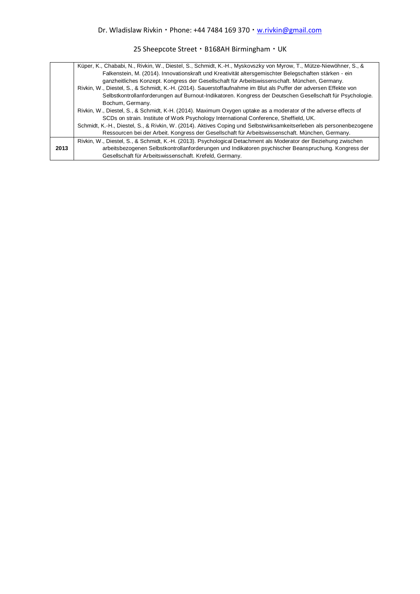|      | Küper, K., Chababi, N., Rivkin, W., Diestel, S., Schmidt, K.-H., Myskovszky von Myrow, T., Mütze-Niewöhner, S., &   |
|------|---------------------------------------------------------------------------------------------------------------------|
|      | Falkenstein, M. (2014). Innovationskraft und Kreativität altersgemischter Belegschaften stärken - ein               |
|      | ganzheitliches Konzept. Kongress der Gesellschaft für Arbeitswissenschaft. München, Germany.                        |
|      | Rivkin, W., Diestel, S., & Schmidt, K.-H. (2014). Sauerstoffaufnahme im Blut als Puffer der adversen Effekte von    |
|      | Selbstkontrollanforderungen auf Burnout-Indikatoren. Kongress der Deutschen Gesellschaft für Psychologie.           |
|      | Bochum, Germany.                                                                                                    |
|      | Rivkin, W., Diestel, S., & Schmidt, K-H. (2014). Maximum Oxygen uptake as a moderator of the adverse effects of     |
|      | SCDs on strain. Institute of Work Psychology International Conference, Sheffield, UK.                               |
|      | Schmidt, K.-H., Diestel, S., & Rivkin, W. (2014). Aktives Coping und Selbstwirksamkeitserleben als personenbezogene |
|      | Ressourcen bei der Arbeit. Kongress der Gesellschaft für Arbeitswissenschaft. München, Germany.                     |
|      | Rivkin, W., Diestel, S., & Schmidt, K.-H. (2013). Psychological Detachment als Moderator der Beziehung zwischen     |
| 2013 | arbeitsbezogenen Selbstkontrollanforderungen und Indikatoren psychischer Beanspruchung. Kongress der                |
|      | Gesellschaft für Arbeitswissenschaft. Krefeld, Germany.                                                             |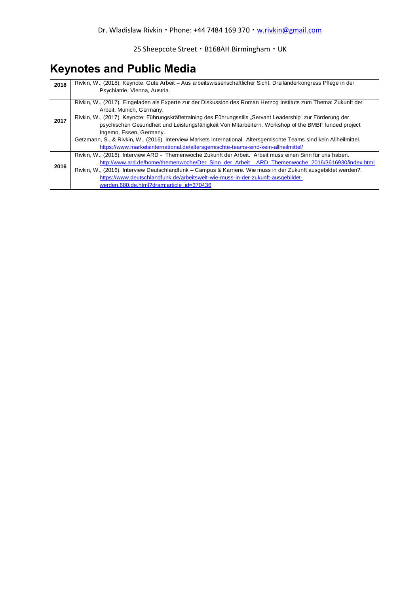## **Keynotes and Public Media**

| 2018 | Rivkin, W., (2018). Keynote: Gute Arbeit – Aus arbeitswissenschaftlicher Sicht. Dreiländerkongress Pflege in der                                                                                                    |  |  |  |  |
|------|---------------------------------------------------------------------------------------------------------------------------------------------------------------------------------------------------------------------|--|--|--|--|
|      | Psychiatrie, Vienna, Austria.                                                                                                                                                                                       |  |  |  |  |
|      | Rivkin, W., (2017). Eingeladen als Experte zur der Diskussion des Roman Herzog Instituts zum Thema: Zukunft der<br>Arbeit, Munich, Germany.                                                                         |  |  |  |  |
| 2017 | Rivkin, W., (2017). Keynote: Führungskräftetraining des Führungsstils "Servant Leadership" zur Förderung der<br>psychischen Gesundheit und Leistungsfähigkeit Von Mitarbeitern. Workshop of the BMBF funded project |  |  |  |  |
|      | Ingemo, Essen, Germany.                                                                                                                                                                                             |  |  |  |  |
|      | Getzmann, S., & Rivkin, W., (2016). Interview Markets International. Altersgemischte Teams sind kein Allheilmittel.                                                                                                 |  |  |  |  |
|      | https://www.marketsinternational.de/altersgemischte-teams-sind-kein-allheilmittel/                                                                                                                                  |  |  |  |  |
|      | Rivkin, W., (2016). Interview ARD - Themenwoche Zukunft der Arbeit. Arbeit muss einen Sinn für uns haben.                                                                                                           |  |  |  |  |
|      | http://www.ard.de/home/themenwoche/Der Sinn der Arbeit ARD Themenwoche 2016/3616930/index.html                                                                                                                      |  |  |  |  |
| 2016 | Rivkin, W., (2016). Interview Deutschlandfunk – Campus & Karriere. Wie muss in der Zukunft ausgebildet werden?.                                                                                                     |  |  |  |  |
|      | https://www.deutschlandfunk.de/arbeitswelt-wie-muss-in-der-zukunft-ausgebildet-                                                                                                                                     |  |  |  |  |
|      | werden.680.de.html?dram:article_id=370436                                                                                                                                                                           |  |  |  |  |